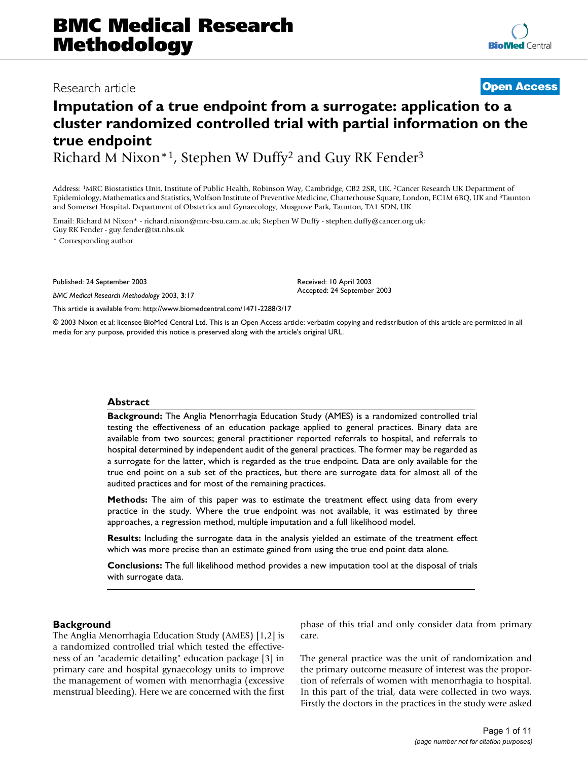# **BMC Medical Research Methodology**

# Research article **[Open Access](http://www.biomedcentral.com/info/about/charter/)**

# **Imputation of a true endpoint from a surrogate: application to a cluster randomized controlled trial with partial information on the true endpoint**

Richard M Nixon\*1, Stephen W Duffy2 and Guy RK Fender3

Address: 1MRC Biostatistics Unit, Institute of Public Health, Robinson Way, Cambridge, CB2 2SR, UK, 2Cancer Research UK Department of Epidemiology, Mathematics and Statistics, Wolfson Institute of Preventive Medicine, Charterhouse Square, London, EC1M 6BQ, UK and 3Taunton and Somerset Hospital, Department of Obstetrics and Gynaecology, Musgrove Park, Taunton, TA1 5DN, UK

Email: Richard M Nixon\* - richard.nixon@mrc-bsu.cam.ac.uk; Stephen W Duffy - stephen.duffy@cancer.org.uk; Guy RK Fender - guy.fender@tst.nhs.uk

\* Corresponding author

Published: 24 September 2003

*BMC Medical Research Methodology* 2003, **3**:17

Received: 10 April 2003 Accepted: 24 September 2003

[This article is available from: http://www.biomedcentral.com/1471-2288/3/17](http://www.biomedcentral.com/1471-2288/3/17)

© 2003 Nixon et al; licensee BioMed Central Ltd. This is an Open Access article: verbatim copying and redistribution of this article are permitted in all media for any purpose, provided this notice is preserved along with the article's original URL.

#### **Abstract**

**Background:** The Anglia Menorrhagia Education Study (AMES) is a randomized controlled trial testing the effectiveness of an education package applied to general practices. Binary data are available from two sources; general practitioner reported referrals to hospital, and referrals to hospital determined by independent audit of the general practices. The former may be regarded as a surrogate for the latter, which is regarded as the true endpoint. Data are only available for the true end point on a sub set of the practices, but there are surrogate data for almost all of the audited practices and for most of the remaining practices.

**Methods:** The aim of this paper was to estimate the treatment effect using data from every practice in the study. Where the true endpoint was not available, it was estimated by three approaches, a regression method, multiple imputation and a full likelihood model.

**Results:** Including the surrogate data in the analysis yielded an estimate of the treatment effect which was more precise than an estimate gained from using the true end point data alone.

**Conclusions:** The full likelihood method provides a new imputation tool at the disposal of trials with surrogate data.

# **Background**

The Anglia Menorrhagia Education Study (AMES) [1,2] is a randomized controlled trial which tested the effectiveness of an "academic detailing" education package [3] in primary care and hospital gynaecology units to improve the management of women with menorrhagia (excessive menstrual bleeding). Here we are concerned with the first phase of this trial and only consider data from primary care.

The general practice was the unit of randomization and the primary outcome measure of interest was the proportion of referrals of women with menorrhagia to hospital. In this part of the trial, data were collected in two ways. Firstly the doctors in the practices in the study were asked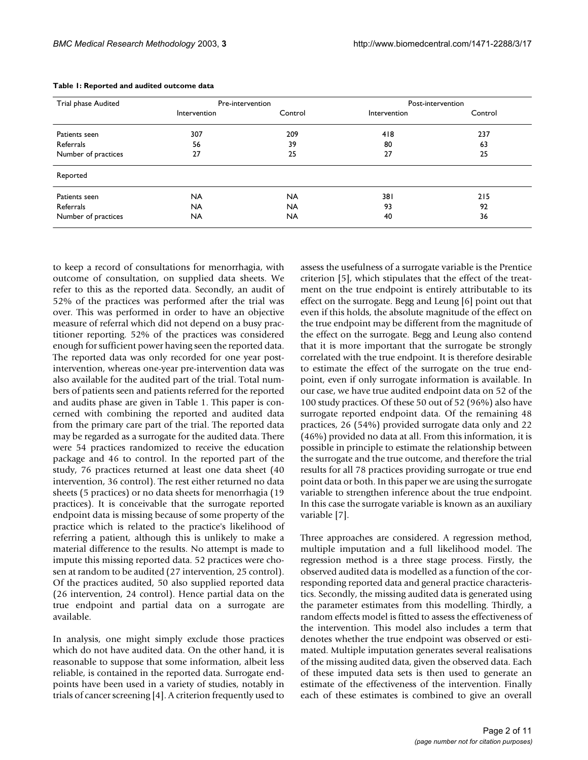| Trial phase Audited | Pre-intervention |           | Post-intervention |         |
|---------------------|------------------|-----------|-------------------|---------|
|                     | Intervention     | Control   | Intervention      | Control |
| Patients seen       | 307              | 209       | 418               | 237     |
| Referrals           | 56               | 39        | 80                | 63      |
| Number of practices | 27               | 25        | 27                | 25      |
| Reported            |                  |           |                   |         |
| Patients seen       | <b>NA</b>        | <b>NA</b> | 381               | 215     |
| Referrals           | <b>NA</b>        | <b>NA</b> | 93                | 92      |
| Number of practices | <b>NA</b>        | <b>NA</b> | 40                | 36      |

#### <span id="page-1-0"></span>**Table 1: Reported and audited outcome data**

to keep a record of consultations for menorrhagia, with outcome of consultation, on supplied data sheets. We refer to this as the reported data. Secondly, an audit of 52% of the practices was performed after the trial was over. This was performed in order to have an objective measure of referral which did not depend on a busy practitioner reporting. 52% of the practices was considered enough for sufficient power having seen the reported data. The reported data was only recorded for one year postintervention, whereas one-year pre-intervention data was also available for the audited part of the trial. Total numbers of patients seen and patients referred for the reported and audits phase are given in Table [1.](#page-1-0) This paper is concerned with combining the reported and audited data from the primary care part of the trial. The reported data may be regarded as a surrogate for the audited data. There were 54 practices randomized to receive the education package and 46 to control. In the reported part of the study, 76 practices returned at least one data sheet (40 intervention, 36 control). The rest either returned no data sheets (5 practices) or no data sheets for menorrhagia (19 practices). It is conceivable that the surrogate reported endpoint data is missing because of some property of the practice which is related to the practice's likelihood of referring a patient, although this is unlikely to make a material difference to the results. No attempt is made to impute this missing reported data. 52 practices were chosen at random to be audited (27 intervention, 25 control). Of the practices audited, 50 also supplied reported data (26 intervention, 24 control). Hence partial data on the true endpoint and partial data on a surrogate are available.

In analysis, one might simply exclude those practices which do not have audited data. On the other hand, it is reasonable to suppose that some information, albeit less reliable, is contained in the reported data. Surrogate endpoints have been used in a variety of studies, notably in trials of cancer screening [4]. A criterion frequently used to

assess the usefulness of a surrogate variable is the Prentice criterion [5], which stipulates that the effect of the treatment on the true endpoint is entirely attributable to its effect on the surrogate. Begg and Leung [6] point out that even if this holds, the absolute magnitude of the effect on the true endpoint may be different from the magnitude of the effect on the surrogate. Begg and Leung also contend that it is more important that the surrogate be strongly correlated with the true endpoint. It is therefore desirable to estimate the effect of the surrogate on the true endpoint, even if only surrogate information is available. In our case, we have true audited endpoint data on 52 of the 100 study practices. Of these 50 out of 52 (96%) also have surrogate reported endpoint data. Of the remaining 48 practices, 26 (54%) provided surrogate data only and 22 (46%) provided no data at all. From this information, it is possible in principle to estimate the relationship between the surrogate and the true outcome, and therefore the trial results for all 78 practices providing surrogate or true end point data or both. In this paper we are using the surrogate variable to strengthen inference about the true endpoint. In this case the surrogate variable is known as an auxiliary variable [7].

Three approaches are considered. A regression method, multiple imputation and a full likelihood model. The regression method is a three stage process. Firstly, the observed audited data is modelled as a function of the corresponding reported data and general practice characteristics. Secondly, the missing audited data is generated using the parameter estimates from this modelling. Thirdly, a random effects model is fitted to assess the effectiveness of the intervention. This model also includes a term that denotes whether the true endpoint was observed or estimated. Multiple imputation generates several realisations of the missing audited data, given the observed data. Each of these imputed data sets is then used to generate an estimate of the effectiveness of the intervention. Finally each of these estimates is combined to give an overall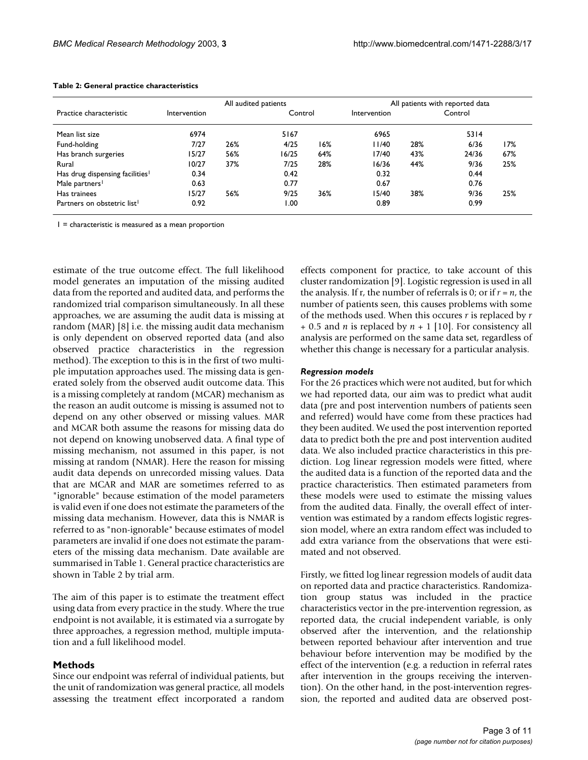|                                             | All audited patients |     |         | All patients with reported data |              |     |         |     |
|---------------------------------------------|----------------------|-----|---------|---------------------------------|--------------|-----|---------|-----|
| Practice characteristic                     | Intervention         |     | Control |                                 | Intervention |     | Control |     |
| Mean list size                              | 6974                 |     | 5167    |                                 | 6965         |     | 5314    |     |
| Fund-holding                                | 7/27                 | 26% | 4/25    | 16%                             | 11/40        | 28% | 6/36    | 17% |
| Has branch surgeries                        | 15/27                | 56% | 16/25   | 64%                             | 17/40        | 43% | 24/36   | 67% |
| Rural                                       | 10/27                | 37% | 7/25    | 28%                             | 16/36        | 44% | 9/36    | 25% |
| Has drug dispensing facilities <sup>1</sup> | 0.34                 |     | 0.42    |                                 | 0.32         |     | 0.44    |     |
| Male partners <sup>1</sup>                  | 0.63                 |     | 0.77    |                                 | 0.67         |     | 0.76    |     |
| Has trainees                                | 15/27                | 56% | 9/25    | 36%                             | 15/40        | 38% | 9/36    | 25% |
| Partners on obstetric list <sup>1</sup>     | 0.92                 |     | 00. ا   |                                 | 0.89         |     | 0.99    |     |

#### <span id="page-2-0"></span>**Table 2: General practice characteristics**

1 = characteristic is measured as a mean proportion

estimate of the true outcome effect. The full likelihood model generates an imputation of the missing audited data from the reported and audited data, and performs the randomized trial comparison simultaneously. In all these approaches, we are assuming the audit data is missing at random (MAR) [8] i.e. the missing audit data mechanism is only dependent on observed reported data (and also observed practice characteristics in the regression method). The exception to this is in the first of two multiple imputation approaches used. The missing data is generated solely from the observed audit outcome data. This is a missing completely at random (MCAR) mechanism as the reason an audit outcome is missing is assumed not to depend on any other observed or missing values. MAR and MCAR both assume the reasons for missing data do not depend on knowing unobserved data. A final type of missing mechanism, not assumed in this paper, is not missing at random (NMAR). Here the reason for missing audit data depends on unrecorded missing values. Data that are MCAR and MAR are sometimes referred to as "ignorable" because estimation of the model parameters is valid even if one does not estimate the parameters of the missing data mechanism. However, data this is NMAR is referred to as "non-ignorable" because estimates of model parameters are invalid if one does not estimate the parameters of the missing data mechanism. Date available are summarised in Table [1](#page-1-0). General practice characteristics are shown in Table [2](#page-2-0) by trial arm.

The aim of this paper is to estimate the treatment effect using data from every practice in the study. Where the true endpoint is not available, it is estimated via a surrogate by three approaches, a regression method, multiple imputation and a full likelihood model.

#### **Methods**

Since our endpoint was referral of individual patients, but the unit of randomization was general practice, all models assessing the treatment effect incorporated a random

effects component for practice, to take account of this cluster randomization [9]. Logistic regression is used in all the analysis. If r, the number of referrals is 0; or if  $r = n$ , the number of patients seen, this causes problems with some of the methods used. When this occures *r* is replaced by *r* + 0.5 and *n* is replaced by *n* + 1 [10]. For consistency all analysis are performed on the same data set, regardless of whether this change is necessary for a particular analysis.

#### *Regression models*

For the 26 practices which were not audited, but for which we had reported data, our aim was to predict what audit data (pre and post intervention numbers of patients seen and referred) would have come from these practices had they been audited. We used the post intervention reported data to predict both the pre and post intervention audited data. We also included practice characteristics in this prediction. Log linear regression models were fitted, where the audited data is a function of the reported data and the practice characteristics. Then estimated parameters from these models were used to estimate the missing values from the audited data. Finally, the overall effect of intervention was estimated by a random effects logistic regression model, where an extra random effect was included to add extra variance from the observations that were estimated and not observed.

Firstly, we fitted log linear regression models of audit data on reported data and practice characteristics. Randomization group status was included in the practice characteristics vector in the pre-intervention regression, as reported data, the crucial independent variable, is only observed after the intervention, and the relationship between reported behaviour after intervention and true behaviour before intervention may be modified by the effect of the intervention (e.g. a reduction in referral rates after intervention in the groups receiving the intervention). On the other hand, in the post-intervention regression, the reported and audited data are observed post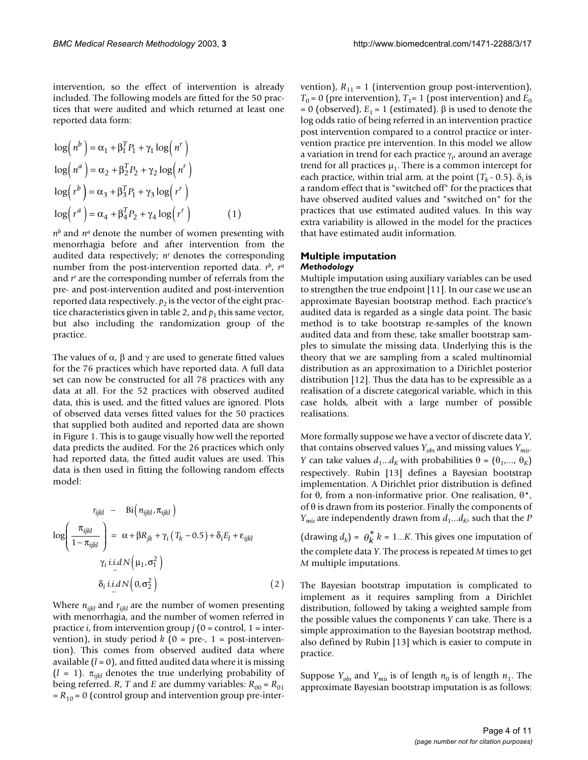intervention, so the effect of intervention is already included. The following models are fitted for the 50 practices that were audited and which returned at least one reported data form:

$$
\log\left(n^{b}\right) = \alpha_{1} + \beta_{1}^{T}P_{1} + \gamma_{1}\log\left(n^{r}\right)
$$

$$
\log\left(n^{a}\right) = \alpha_{2} + \beta_{2}^{T}P_{2} + \gamma_{2}\log\left(n^{r}\right)
$$

$$
\log\left(r^{b}\right) = \alpha_{3} + \beta_{3}^{T}P_{1} + \gamma_{3}\log\left(r^{r}\right)
$$

$$
\log\left(r^{a}\right) = \alpha_{4} + \beta_{4}^{T}P_{2} + \gamma_{4}\log\left(r^{r}\right) \tag{1}
$$

 $n<sup>b</sup>$  and  $n<sup>a</sup>$  denote the number of women presenting with menorrhagia before and after intervention from the audited data respectively; *nr* denotes the corresponding number from the post-intervention reported data. *rb*, *ra* and *rr* are the corresponding number of referrals from the pre- and post-intervention audited and post-intervention reported data respectively.  $p_2$  is the vector of the eight prac-tice characteristics given in table [2](#page-2-0), and  $p_1$  this same vector, but also including the randomization group of the practice.

The values of  $\alpha$ ,  $\beta$  and  $\gamma$  are used to generate fitted values for the 76 practices which have reported data. A full data set can now be constructed for all 78 practices with any data at all. For the 52 practices with observed audited data, this is used, and the fitted values are ignored. Plots of observed data verses fitted values for the 50 practices that supplied both audited and reported data are shown in Figure [1.](#page-4-0) This is to gauge visually how well the reported data predicts the audited. For the 26 practices which only had reported data, the fitted audit values are used. This data is then used in fitting the following random effects model:

$$
r_{ijkl} \sim Bi\left(n_{ijkl}, \pi_{ijkl}\right)
$$
  

$$
\log\left(\frac{\pi_{ijkl}}{1-\pi_{ijkl}}\right) = \alpha + \beta R_{jk} + \gamma_i (T_k - 0.5) + \delta_i E_l + \epsilon_{ijkl}
$$
  

$$
\gamma_i i.i.d \, N\left(\mu_1, \sigma_1^2\right)
$$
  

$$
\delta_i i.i.d \, N\left(0, \sigma_2^2\right)
$$
 (2)

Where  $n_{ijkl}$  and  $r_{ijkl}$  are the number of women presenting with menorrhagia, and the number of women referred in practice *i*, from intervention group *j* (0 = control, 1 = intervention), in study period  $k$  (0 = pre-, 1 = post-intervention). This comes from observed audited data where available  $(l = 0)$ , and fitted audited data where it is missing  $(l = 1)$ .  $\pi_{ijkl}$  denotes the true underlying probability of being referred. *R*, *T* and *E* are dummy variables:  $R_{00} = R_{01}$  $=R_{10}$  = 0 (control group and intervention group pre-intervention),  $R_{11} = 1$  (intervention group post-intervention),  $T_0$  = 0 (pre intervention),  $T_1$  = 1 (post intervention) and  $E_0$ = 0 (observed),  $E_1$  = 1 (estimated). β is used to denote the log odds ratio of being referred in an intervention practice post intervention compared to a control practice or intervention practice pre intervention. In this model we allow a variation in trend for each practice γ*<sup>i</sup>* , around an average trend for all practices  $\mu_1$ . There is a common intercept for each practice, within trial arm, at the point  $(T_k - 0.5)$ .  $\delta_i$  is a random effect that is "switched off" for the practices that have observed audited values and "switched on" for the practices that use estimated audited values. In this way extra variability is allowed in the model for the practices that have estimated audit information.

#### **Multiple imputation** *Methodology*

Multiple imputation using auxiliary variables can be used to strengthen the true endpoint [11]. In our case we use an approximate Bayesian bootstrap method. Each practice's audited data is regarded as a single data point. The basic method is to take bootstrap re-samples of the known audited data and from these, take smaller bootstrap samples to simulate the missing data. Underlying this is the theory that we are sampling from a scaled multinomial distribution as an approximation to a Dirichlet posterior distribution [12]. Thus the data has to be expressible as a realisation of a discrete categorical variable, which in this case holds, albeit with a large number of possible realisations.

More formally suppose we have a vector of discrete data *Y*, that contains observed values *Y*<sub>obs</sub> and missing values *Y*<sub>mis</sub>. *Y* can take values  $d_1...d_K$  with probabilities  $\theta = (\theta_1,..., \theta_K)$ respectively. Rubin [13] defines a Bayesian bootstrap implementation. A Dirichlet prior distribution is defined for θ, from a non-informative prior. One realisation, θ\*, of  $\theta$  is drawn from its posterior. Finally the components of  $Y_{mis}$  are independently drawn from  $d_1...d_K$ , such that the *P* 

 $(\text{drawing } d_k) = \theta_k^* k = 1...K$ . This gives one imputation of the complete data *Y*. The process is repeated *M* times to get *M* multiple imputations.

The Bayesian bootstrap imputation is complicated to implement as it requires sampling from a Dirichlet distribution, followed by taking a weighted sample from the possible values the components *Y* can take. There is a simple approximation to the Bayesian bootstrap method, also defined by Rubin [13] which is easier to compute in practice.

Suppose  $Y_{obs}$  and  $Y_{mis}$  is of length  $n_0$  is of length  $n_1$ . The approximate Bayesian bootstrap imputation is as follows: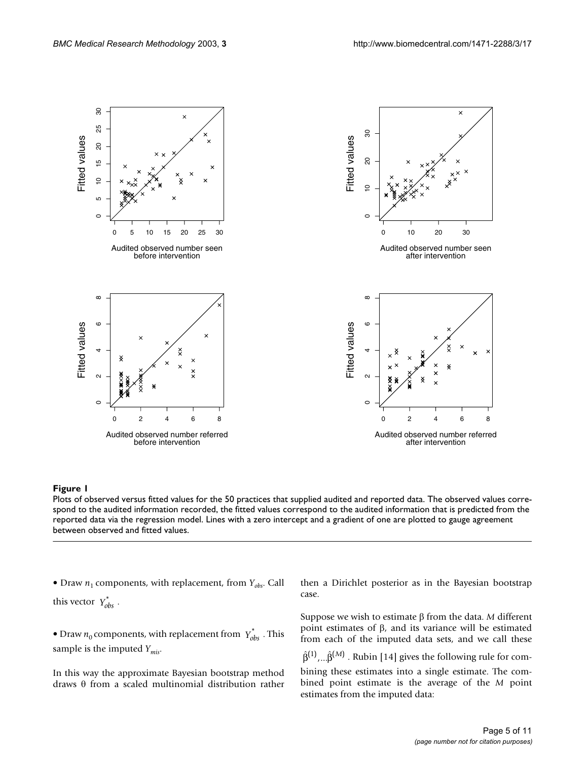<span id="page-4-0"></span>

# Plots of observed versus fitted values for the 50 **Figure 1** practices that supplied audited and reported data

Plots of observed versus fitted values for the 50 practices that supplied audited and reported data. The observed values correspond to the audited information recorded, the fitted values correspond to the audited information that is predicted from the reported data via the regression model. Lines with a zero intercept and a gradient of one are plotted to gauge agreement between observed and fitted values.

• Draw  $n_1$  components, with replacement, from  $Y_{obs}$ . Call this vector  $Y^*_{obs}$ .

• Draw  $n_0$  components, with replacement from  $Y^*_{obs}$ . This sample is the imputed *Ymis*.

In this way the approximate Bayesian bootstrap method draws θ from a scaled multinomial distribution rather then a Dirichlet posterior as in the Bayesian bootstrap case.

Suppose we wish to estimate β from the data. *M* different point estimates of β, and its variance will be estimated from each of the imputed data sets, and we call these

 $\hat{\beta}^{(1)}$ ,... $\hat{\beta}^{(M)}$  . Rubin [14] gives the following rule for combining these estimates into a single estimate. The combined point estimate is the average of the *M* point estimates from the imputed data: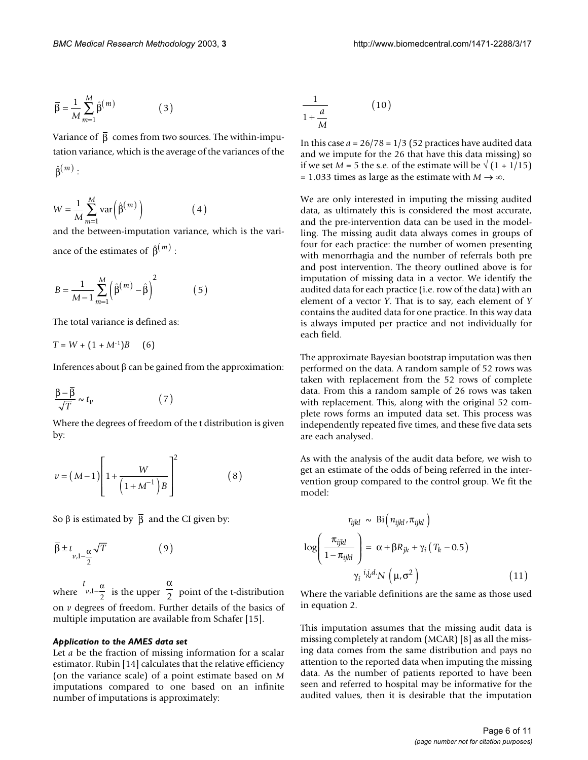$$
\overline{\beta} = \frac{1}{M} \sum_{m=1}^{M} \hat{\beta}^{(m)} \tag{3}
$$

Variance of  $\,\beta\,$  comes from two sources. The within-imputation variance, which is the average of the variances of the  $\hat{\bm{\beta}}^{(\:m)}:$ 

$$
W = \frac{1}{M} \sum_{m=1}^{M} \text{var}\left(\hat{\beta}^{(m)}\right)
$$
 (4)

and the between-imputation variance, which is the variance of the estimates of  $\hat{\beta}^{(m)}$  :

$$
B = \frac{1}{M-1} \sum_{m=1}^{M} \left( \hat{\beta}^{(m)} - \hat{\beta} \right)^2
$$
 (5)

The total variance is defined as:

$$
T = W + (1 + M^{-1})B \t\t(6)
$$

Inferences about β can be gained from the approximation:

$$
\frac{\beta - \bar{\beta}}{\sqrt{T}} \sim t_{\nu} \tag{7}
$$

Where the degrees of freedom of the t distribution is given by:

$$
v = (M-1)\left[1 + \frac{W}{(1 + M^{-1})B}\right]^2
$$
 (8)

So  $\beta$  is estimated by  $\bar{\beta}$  and the CI given by:

$$
\bar{\beta} \pm t_{\nu, 1-\frac{\alpha}{2}} \sqrt{T} \tag{9}
$$

where  $v \cdot 1-\frac{\pi}{2}$  is the upper  $\frac{\pi}{2}$  point of the t-distribution on *v* degrees of freedom. Further details of the basics of multiple imputation are available from Schafer [15].  $t_{\nu,1-\frac{\alpha}{2}}$  is the upper  $\frac{\alpha}{2}$ 

#### *Application to the AMES data set*

Let *a* be the fraction of missing information for a scalar estimator. Rubin [14] calculates that the relative efficiency (on the variance scale) of a point estimate based on *M* imputations compared to one based on an infinite number of imputations is approximately:

$$
\frac{1}{1 + \frac{a}{M}}
$$
 (10)

In this case  $a = 26/78 = 1/3$  (52 practices have audited data and we impute for the 26 that have this data missing) so if we set *M* = 5 the s.e. of the estimate will be  $\sqrt{(1 + 1/15)}$  $= 1.033$  times as large as the estimate with *M*  $\rightarrow \infty$ .

We are only interested in imputing the missing audited data, as ultimately this is considered the most accurate, and the pre-intervention data can be used in the modelling. The missing audit data always comes in groups of four for each practice: the number of women presenting with menorrhagia and the number of referrals both pre and post intervention. The theory outlined above is for imputation of missing data in a vector. We identify the audited data for each practice (i.e. row of the data) with an element of a vector *Y*. That is to say, each element of *Y* contains the audited data for one practice. In this way data is always imputed per practice and not individually for each field.

The approximate Bayesian bootstrap imputation was then performed on the data. A random sample of 52 rows was taken with replacement from the 52 rows of complete data. From this a random sample of 26 rows was taken with replacement. This, along with the original 52 complete rows forms an imputed data set. This process was independently repeated five times, and these five data sets are each analysed.

As with the analysis of the audit data before, we wish to get an estimate of the odds of being referred in the intervention group compared to the control group. We fit the model:

$$
r_{ijkl} \sim Bi\left(n_{ijkl}, \pi_{ijkl}\right)
$$

$$
\log\left(\frac{\pi_{ijkl}}{1-\pi_{ijkl}}\right) = \alpha + \beta R_{jk} + \gamma_i (T_k - 0.5)
$$

$$
\gamma_i \stackrel{i.i.d.}{\sim} N\left(\mu, \sigma^2\right) \tag{11}
$$

Where the variable definitions are the same as those used in equation 2.

This imputation assumes that the missing audit data is missing completely at random (MCAR) [8] as all the missing data comes from the same distribution and pays no attention to the reported data when imputing the missing data. As the number of patients reported to have been seen and referred to hospital may be informative for the audited values, then it is desirable that the imputation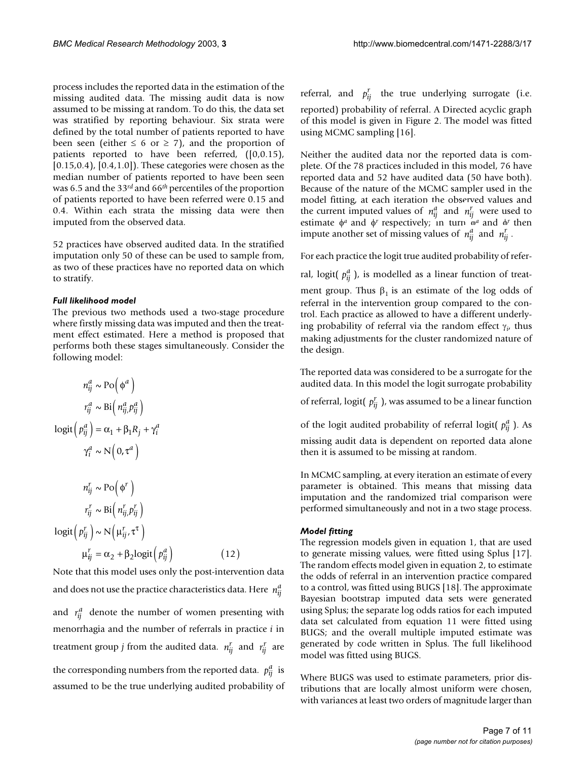process includes the reported data in the estimation of the missing audited data. The missing audit data is now assumed to be missing at random. To do this, the data set was stratified by reporting behaviour. Six strata were defined by the total number of patients reported to have been seen (either  $\leq 6$  or  $\geq 7$ ), and the proportion of patients reported to have been referred, ([0,0.15),  $[0.15, 0.4)$ ,  $[0.4, 1.0]$ . These categories were chosen as the median number of patients reported to have been seen was 6.5 and the 33*rd* and 66*th* percentiles of the proportion of patients reported to have been referred were 0.15 and 0.4. Within each strata the missing data were then imputed from the observed data.

52 practices have observed audited data. In the stratified imputation only 50 of these can be used to sample from, as two of these practices have no reported data on which to stratify.

#### *Full likelihood model*

The previous two methods used a two-stage procedure where firstly missing data was imputed and then the treatment effect estimated. Here a method is proposed that performs both these stages simultaneously. Consider the following model:

$$
n_{ij}^{a} \sim \text{Po}\left(\phi^{a}\right)
$$
  
\n
$$
r_{ij}^{a} \sim \text{Bi}\left(n_{ij}^{a}, p_{ij}^{a}\right)
$$
  
\n
$$
\text{logit}\left(p_{ij}^{a}\right) = \alpha_{1} + \beta_{1}R_{j} + \gamma_{i}^{a}
$$
  
\n
$$
\gamma_{i}^{a} \sim \text{N}\left(0, \tau^{a}\right)
$$
  
\n
$$
n_{ij}^{r} \sim \text{Po}\left(\phi^{r}\right)
$$

 $r_{ij}^r \sim \text{Bi}\left(n_{ij}^r,p_{ij}^r\right)$  $\text{logit}\left(\rho_{ij}^r\right) \sim \text{N}\left(\mu_{ij}^r, \tau^{\tau}\right)$  $\mu_{ij}^r = \alpha_2 + \beta_2 \text{logit} \left( p_{ij}^a \right)$  (12)

Note that this model uses only the post-intervention data and does not use the practice characteristics data. Here  $n_{ij}^a$ and  $r_{ij}^a$  denote the number of women presenting with menorrhagia and the number of referrals in practice *i* in treatment group *j* from the audited data.  $n_{ij}^r$  and  $r_{ij}^r$  are the corresponding numbers from the reported data.  $p_{ij}^a$  is assumed to be the true underlying audited probability of

referral, and  $p_{ij}^r$  the true underlying surrogate (i.e. reported) probability of referral. A Directed acyclic graph of this model is given in Figure 2. The model was fitted using MCMC sampling [16].

Neither the audited data nor the reported data is complete. Of the 78 practices included in this model, 76 have reported data and 52 have audited data (50 have both). Because of the nature of the MCMC sampler used in the model fitting, at each iteration the observed values and the current imputed values of  $n_{ii}^a$  and  $n_{ii}^r$  were used to estimate φ*<sup>a</sup>*and φ*<sup>r</sup>*respectively; in turn φ*<sup>a</sup>*and φ*<sup>r</sup>*then impute another set of missing values of  $n_{ij}^a$  and  $n_{ij}^r$ .  $n_{ij}^a$  and  $n_{ij}^r$ 

For each practice the logit true audited probability of refer-

ral, logit( $p_{ij}^a$ ), is modelled as a linear function of treat-

ment group. Thus  $\beta_1$  is an estimate of the log odds of referral in the intervention group compared to the control. Each practice as allowed to have a different underlying probability of referral via the random effect γ*<sup>i</sup>* , thus making adjustments for the cluster randomized nature of the design.

The reported data was considered to be a surrogate for the audited data. In this model the logit surrogate probability

of referral,  $logit( p_{ij}^r )$ , was assumed to be a linear function

of the logit audited probability of referral logit( $p_{ij}^a$ ). As missing audit data is dependent on reported data alone then it is assumed to be missing at random.

In MCMC sampling, at every iteration an estimate of every parameter is obtained. This means that missing data imputation and the randomized trial comparison were performed simultaneously and not in a two stage process.

#### *Model fitting*

The regression models given in equation 1, that are used to generate missing values, were fitted using Splus [17]. The random effects model given in equation 2, to estimate the odds of referral in an intervention practice compared to a control, was fitted using BUGS [18]. The approximate Bayesian bootstrap imputed data sets were generated using Splus; the separate log odds ratios for each imputed data set calculated from equation 11 were fitted using BUGS; and the overall multiple imputed estimate was generated by code written in Splus. The full likelihood model was fitted using BUGS.

Where BUGS was used to estimate parameters, prior distributions that are locally almost uniform were chosen, with variances at least two orders of magnitude larger than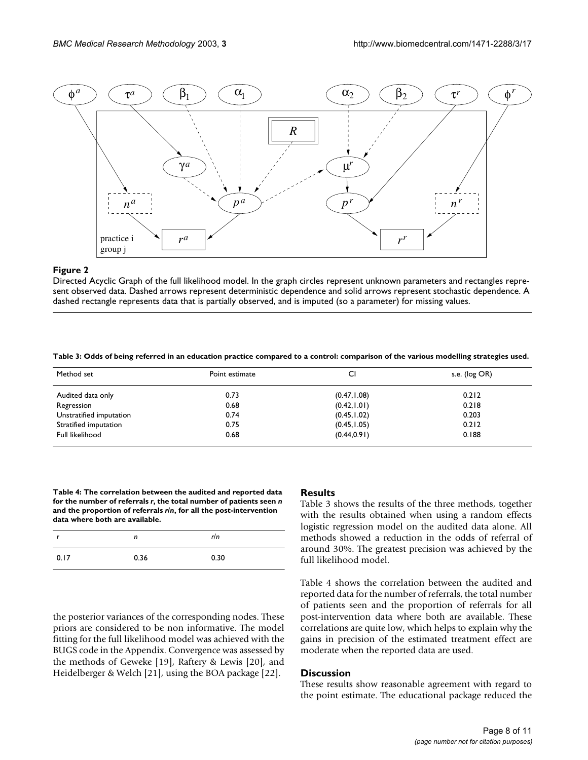

#### Figure 2

Directed Acyclic Graph of the full likelihood model. In the graph circles represent unknown parameters and rectangles represent observed data. Dashed arrows represent deterministic dependence and solid arrows represent stochastic dependence. A dashed rectangle represents data that is partially observed, and is imputed (so a parameter) for missing values.

<span id="page-7-0"></span>**Table 3: Odds of being referred in an education practice compared to a control: comparison of the various modelling strategies used.**

| Method set              | Point estimate | CI           | s.e. (log OR) |
|-------------------------|----------------|--------------|---------------|
| Audited data only       | 0.73           | (0.47, 1.08) | 0.212         |
| Regression              | 0.68           | (0.42, 1.01) | 0.218         |
| Unstratified imputation | 0.74           | (0.45, 1.02) | 0.203         |
| Stratified imputation   | 0.75           | (0.45, 1.05) | 0.212         |
| Full likelihood         | 0.68           | (0.44, 0.91) | 0.188         |

**Table 4: The correlation between the audited and reported data for the number of referrals** *r***, the total number of patients seen** *n*  **and the proportion of referrals** *r***/***n***, for all the post-intervention data where both are available.**

| r    | n    | r/n  |
|------|------|------|
| 0.17 | 0.36 | 0.30 |

the posterior variances of the corresponding nodes. These priors are considered to be non informative. The model fitting for the full likelihood model was achieved with the BUGS code in the Appendix. Convergence was assessed by the methods of Geweke [19], Raftery & Lewis [20], and Heidelberger & Welch [21], using the BOA package [22].

# **Results**

Table [3](#page-7-0) shows the results of the three methods, together with the results obtained when using a random effects logistic regression model on the audited data alone. All methods showed a reduction in the odds of referral of around 30%. The greatest precision was achieved by the full likelihood model.

Table 4 shows the correlation between the audited and reported data for the number of referrals, the total number of patients seen and the proportion of referrals for all post-intervention data where both are available. These correlations are quite low, which helps to explain why the gains in precision of the estimated treatment effect are moderate when the reported data are used.

#### **Discussion**

These results show reasonable agreement with regard to the point estimate. The educational package reduced the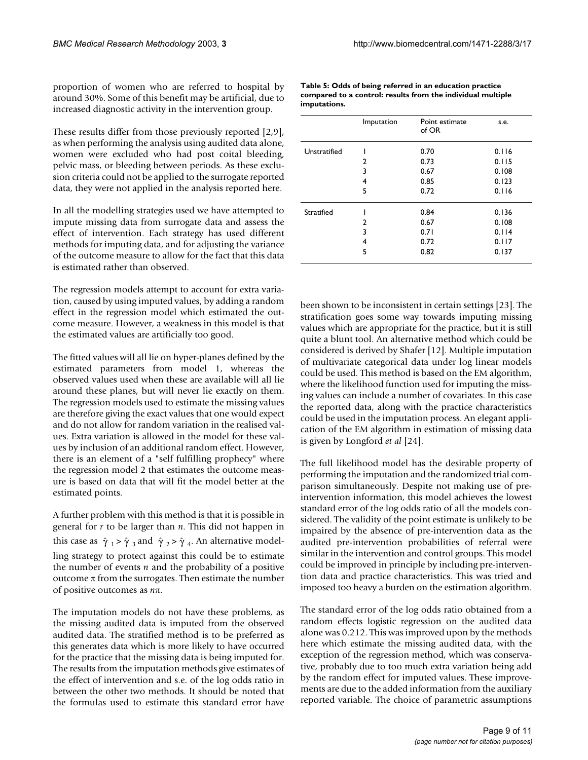proportion of women who are referred to hospital by around 30%. Some of this benefit may be artificial, due to increased diagnostic activity in the intervention group.

These results differ from those previously reported [2,9], as when performing the analysis using audited data alone, women were excluded who had post coital bleeding, pelvic mass, or bleeding between periods. As these exclusion criteria could not be applied to the surrogate reported data, they were not applied in the analysis reported here.

In all the modelling strategies used we have attempted to impute missing data from surrogate data and assess the effect of intervention. Each strategy has used different methods for imputing data, and for adjusting the variance of the outcome measure to allow for the fact that this data is estimated rather than observed.

The regression models attempt to account for extra variation, caused by using imputed values, by adding a random effect in the regression model which estimated the outcome measure. However, a weakness in this model is that the estimated values are artificially too good.

The fitted values will all lie on hyper-planes defined by the estimated parameters from model 1, whereas the observed values used when these are available will all lie around these planes, but will never lie exactly on them. The regression models used to estimate the missing values are therefore giving the exact values that one would expect and do not allow for random variation in the realised values. Extra variation is allowed in the model for these values by inclusion of an additional random effect. However, there is an element of a "self fulfilling prophecy" where the regression model 2 that estimates the outcome measure is based on data that will fit the model better at the estimated points.

A further problem with this method is that it is possible in general for *r* to be larger than *n*. This did not happen in this case as  $\hat{\gamma}_1 > \hat{\gamma}_3$  and  $\hat{\gamma}_2 > \hat{\gamma}_4$ . An alternative modelling strategy to protect against this could be to estimate the number of events *n* and the probability of a positive outcome π from the surrogates. Then estimate the number of positive outcomes as *n*π.

The imputation models do not have these problems, as the missing audited data is imputed from the observed audited data. The stratified method is to be preferred as this generates data which is more likely to have occurred for the practice that the missing data is being imputed for. The results from the imputation methods give estimates of the effect of intervention and s.e. of the log odds ratio in between the other two methods. It should be noted that the formulas used to estimate this standard error have

| Table 5: Odds of being referred in an education practice    |
|-------------------------------------------------------------|
| compared to a control: results from the individual multiple |
| imputations.                                                |

|              | Imputation | Point estimate<br>of OR | s.e.  |
|--------------|------------|-------------------------|-------|
| Unstratified |            | 0.70                    | 0.116 |
|              | 2          | 0.73                    | 0.115 |
|              | 3          | 0.67                    | 0.108 |
|              | 4          | 0.85                    | 0.123 |
|              | 5          | 0.72                    | 0.116 |
| Stratified   |            | 0.84                    | 0.136 |
|              | 2          | 0.67                    | 0.108 |
|              | 3          | 0.71                    | 0.114 |
|              | 4          | 0.72                    | 0.117 |
|              | 5          | 0.82                    | 0.137 |

been shown to be inconsistent in certain settings [23]. The stratification goes some way towards imputing missing values which are appropriate for the practice, but it is still quite a blunt tool. An alternative method which could be considered is derived by Shafer [12]. Multiple imputation of multivariate categorical data under log linear models could be used. This method is based on the EM algorithm, where the likelihood function used for imputing the missing values can include a number of covariates. In this case the reported data, along with the practice characteristics could be used in the imputation process. An elegant application of the EM algorithm in estimation of missing data is given by Longford *et al* [24].

The full likelihood model has the desirable property of performing the imputation and the randomized trial comparison simultaneously. Despite not making use of preintervention information, this model achieves the lowest standard error of the log odds ratio of all the models considered. The validity of the point estimate is unlikely to be impaired by the absence of pre-intervention data as the audited pre-intervention probabilities of referral were similar in the intervention and control groups. This model could be improved in principle by including pre-intervention data and practice characteristics. This was tried and imposed too heavy a burden on the estimation algorithm.

The standard error of the log odds ratio obtained from a random effects logistic regression on the audited data alone was 0.212. This was improved upon by the methods here which estimate the missing audited data, with the exception of the regression method, which was conservative, probably due to too much extra variation being add by the random effect for imputed values. These improvements are due to the added information from the auxiliary reported variable. The choice of parametric assumptions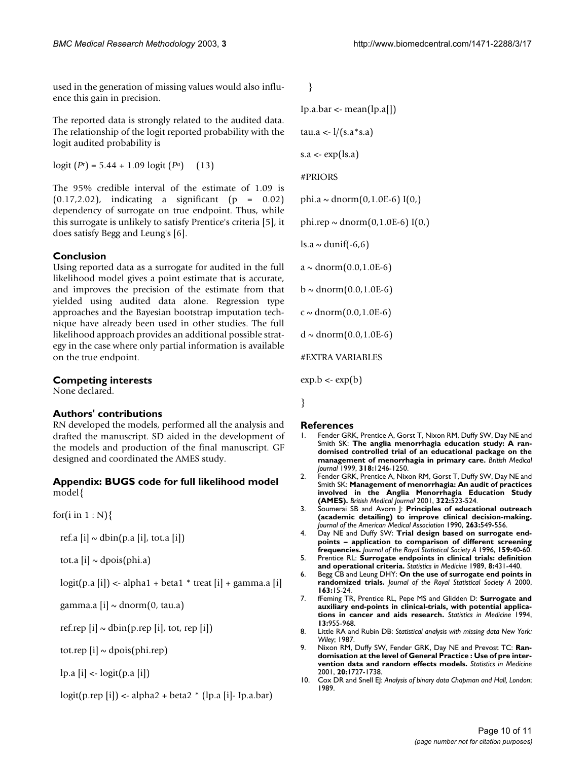used in the generation of missing values would also influence this gain in precision.

The reported data is strongly related to the audited data. The relationship of the logit reported probability with the logit audited probability is

 $logit (P<sup>r</sup>) = 5.44 + 1.09 logit (P<sup>a</sup>)$  (13)

The 95% credible interval of the estimate of 1.09 is  $(0.17, 2.02)$ , indicating a significant  $(p = 0.02)$ dependency of surrogate on true endpoint. Thus, while this surrogate is unlikely to satisfy Prentice's criteria [5], it does satisfy Begg and Leung's [6].

# **Conclusion**

Using reported data as a surrogate for audited in the full likelihood model gives a point estimate that is accurate, and improves the precision of the estimate from that yielded using audited data alone. Regression type approaches and the Bayesian bootstrap imputation technique have already been used in other studies. The full likelihood approach provides an additional possible strategy in the case where only partial information is available on the true endpoint.

# **Competing interests**

None declared.

# **Authors' contributions**

RN developed the models, performed all the analysis and drafted the manuscript. SD aided in the development of the models and production of the final manuscript. GF designed and coordinated the AMES study.

### **Appendix: BUGS code for full likelihood model** model{

for(i in  $1 : N$ ){

ref.a  $[i] \sim \text{dbin}(p.a[i], \text{tot}.a[i])$ 

tot.a  $[i] \sim \text{dpois}(\text{phi.a})$ 

 $logit(p.a[i]) \leq alpha1 + beta1 * treat[i] + gamma.a[i]$ 

gamma.a [i]  $\sim$  dnorm(0, tau.a)

ref.rep  $[i] \sim \text{dbin}(p.\text{rep } [i], \text{tot}, \text{rep } [i])$ 

tot.rep  $[i] \sim$  dpois(phi.rep)

 $|p.a[i] < logit(p.a[i])$ 

logit(p.rep [i]) <- alpha2 + beta2 \* (lp.a [i]- Ip.a.bar)

```
}
```
Ip.a.bar <- mean(lp.a[])

 $tau. a < 1/(s.a*s.a)$ 

s.a  $\langle$  exp(ls.a)

#PRIORS

phi.a ~ dnorm $(0, 1.0E-6) I(0,)$ 

phi.rep  $\sim$  dnorm(0,1.0E-6) I(0,)

ls.a  $\sim$  dunif(-6,6)

 $a \sim \text{dnorm}(0.0, 1.0E-6)$ 

 $b \sim \text{dnorm}(0.0, 1.0E-6)$ 

 $c \sim$  dnorm $(0.0, 1.0E-6)$ 

 $d \sim$  dnorm $(0.0, 1.0E-6)$ 

#EXTRA VARIABLES

 $exp.b \leq exp(b)$ 

```
}
```
# **References**

- 1. Fender GRK, Prentice A, Gorst T, Nixon RM, Duffy SW, Day NE and Smith SK: **[The anglia menorrhagia education study: A ran](http://www.ncbi.nlm.nih.gov/entrez/query.fcgi?cmd=Retrieve&db=PubMed&dopt=Abstract&list_uids=27863)[domised controlled trial of an educational package on the](http://www.ncbi.nlm.nih.gov/entrez/query.fcgi?cmd=Retrieve&db=PubMed&dopt=Abstract&list_uids=27863) [management of menorrhagia in primary care](http://www.ncbi.nlm.nih.gov/entrez/query.fcgi?cmd=Retrieve&db=PubMed&dopt=Abstract&list_uids=27863)[.](http://www.ncbi.nlm.nih.gov/entrez/query.fcgi?cmd=Retrieve&db=PubMed&dopt=Abstract&list_uids=10231255)** *British Medical Journal* 1999, **318:**1246-1250.
- 2. Fender GRK, Prentice A, Nixon RM, Gorst T, Duffy SW, Day NE and Smith SK: **[Management of menorrhagia: An audit of practices](http://www.ncbi.nlm.nih.gov/entrez/query.fcgi?cmd=Retrieve&db=PubMed&dopt=Abstract&list_uids=26556) [involved in the Anglia Menorrhagia Education Study](http://www.ncbi.nlm.nih.gov/entrez/query.fcgi?cmd=Retrieve&db=PubMed&dopt=Abstract&list_uids=26556) [\(AMES\)](http://www.ncbi.nlm.nih.gov/entrez/query.fcgi?cmd=Retrieve&db=PubMed&dopt=Abstract&list_uids=26556)[.](http://www.ncbi.nlm.nih.gov/entrez/query.fcgi?cmd=Retrieve&db=PubMed&dopt=Abstract&list_uids=10.1136/bmj.322.7285.523)** *British Medical Journal* 2001, **322:**523-524.
- 3. Soumerai SB and Avorn J: **[Principles of educational outreach](http://www.ncbi.nlm.nih.gov/entrez/query.fcgi?cmd=Retrieve&db=PubMed&dopt=Abstract&list_uids=10.1001/jama.263.4.549) [\(academic detailing\) to improve clinical decision-making.](http://www.ncbi.nlm.nih.gov/entrez/query.fcgi?cmd=Retrieve&db=PubMed&dopt=Abstract&list_uids=10.1001/jama.263.4.549)** *Journal of the American Medical Association* 1990, **263:**549-556.
- 4. Day NE and Duffy SW: **Trial design based on surrogate endpoints – application to comparison of different screening frequencies.** *Journal of the Royal Statistical Society A* 1996, **159:**40-60.
- 5. Prentice RL: **[Surrogate endpoints in clinical trials: definition](http://www.ncbi.nlm.nih.gov/entrez/query.fcgi?cmd=Retrieve&db=PubMed&dopt=Abstract&list_uids=2727467) [and operational criteria.](http://www.ncbi.nlm.nih.gov/entrez/query.fcgi?cmd=Retrieve&db=PubMed&dopt=Abstract&list_uids=2727467)** *Statistics in Medicine* 1989, **8:**431-440.
- 6. Begg CB and Leung DHY: **[On the use of surrogate end points in](http://www.ncbi.nlm.nih.gov/entrez/query.fcgi?cmd=Retrieve&db=PubMed&dopt=Abstract&list_uids=10.1111/1467-985X.00153) [randomized trials.](http://www.ncbi.nlm.nih.gov/entrez/query.fcgi?cmd=Retrieve&db=PubMed&dopt=Abstract&list_uids=10.1111/1467-985X.00153)** *Journal of the Royal Statistical Society A* 2000, **163:**15-24.
- 7. fFeming TR, Prentice RL, Pepe MS and Glidden D: **[Surrogate and](http://www.ncbi.nlm.nih.gov/entrez/query.fcgi?cmd=Retrieve&db=PubMed&dopt=Abstract&list_uids=8047747) [auxiliary end-points in clinical-trials, with potential applica](http://www.ncbi.nlm.nih.gov/entrez/query.fcgi?cmd=Retrieve&db=PubMed&dopt=Abstract&list_uids=8047747)[tions in cancer and aids research.](http://www.ncbi.nlm.nih.gov/entrez/query.fcgi?cmd=Retrieve&db=PubMed&dopt=Abstract&list_uids=8047747)** *Statistics in Medicine* 1994, **13:**955-968.
- 8. Little RA and Rubin DB: *Statistical analysis with missing data New York: Wiley*; 1987.
- 9. Nixon RM, Duffy SW, Fender GRK, Day NE and Prevost TC: **[Ran](http://www.ncbi.nlm.nih.gov/entrez/query.fcgi?cmd=Retrieve&db=PubMed&dopt=Abstract&list_uids=10.1002/sim.792)[domisation at the level of General Practice : Use of pre inter](http://www.ncbi.nlm.nih.gov/entrez/query.fcgi?cmd=Retrieve&db=PubMed&dopt=Abstract&list_uids=10.1002/sim.792)[vention data and random effects models](http://www.ncbi.nlm.nih.gov/entrez/query.fcgi?cmd=Retrieve&db=PubMed&dopt=Abstract&list_uids=10.1002/sim.792)[.](http://www.ncbi.nlm.nih.gov/entrez/query.fcgi?cmd=Retrieve&db=PubMed&dopt=Abstract&list_uids=11406837)** *Statistics in Medicine* 2001, **20:**1727-1738.
- 10. Cox DR and Snell EJ: *Analysis of binary data Chapman and Hall, London*; 1989.